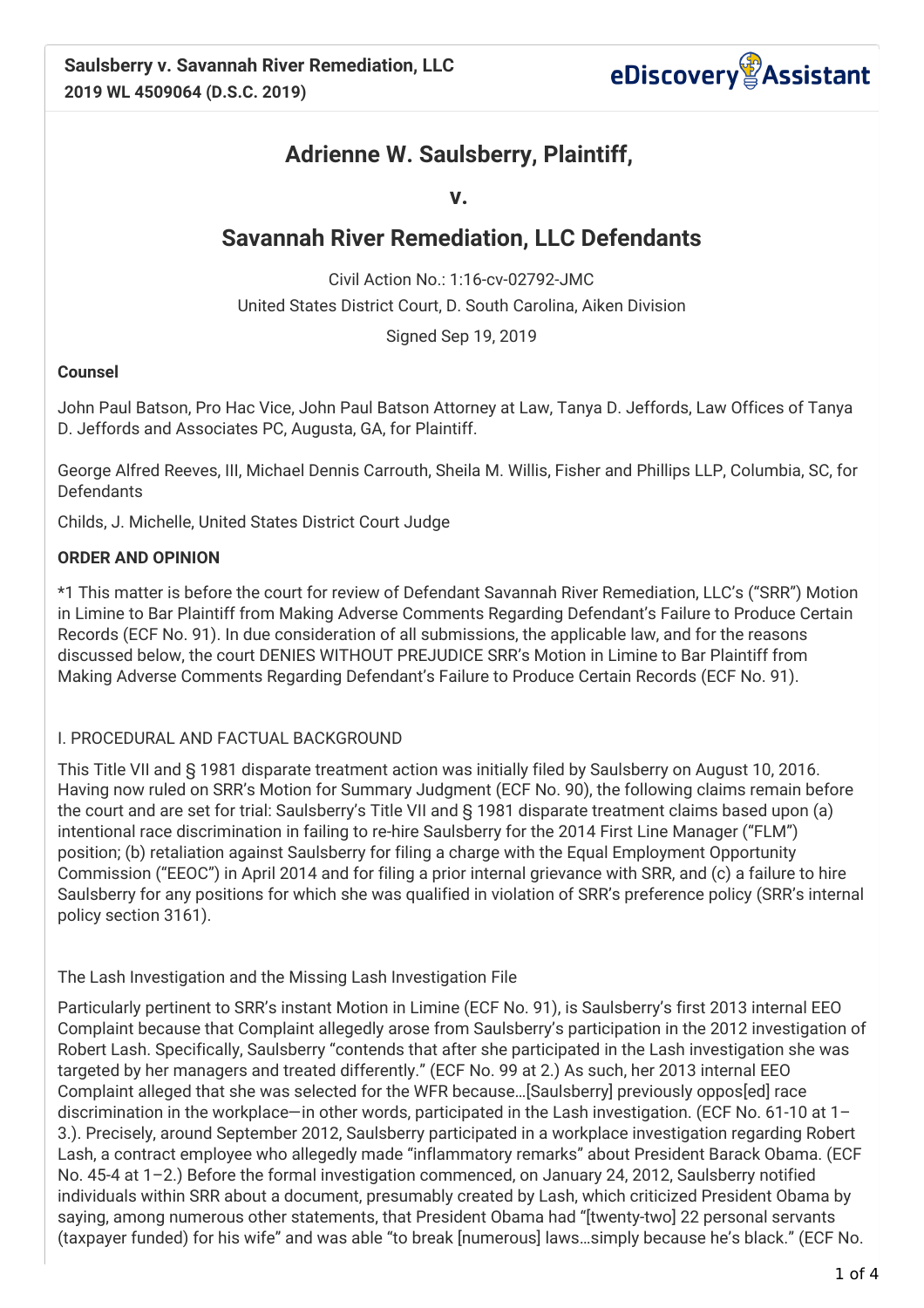

# **Adrienne W. Saulsberry, Plaintiff,**

**v.**

## **Savannah River Remediation, LLC Defendants**

Civil Action No.: 1:16-cv-02792-JMC United States District Court, D. South Carolina, Aiken Division

Signed Sep 19, 2019

#### **Counsel**

John Paul Batson, Pro Hac Vice, John Paul Batson Attorney at Law, Tanya D. Jeffords, Law Offices of Tanya D. Jeffords and Associates PC, Augusta, GA, for Plaintiff.

George Alfred Reeves, III, Michael Dennis Carrouth, Sheila M. Willis, Fisher and Phillips LLP, Columbia, SC, for **Defendants** 

Childs, J. Michelle, United States District Court Judge

### **ORDER AND OPINION**

\*1 This matter is before the court for review of Defendant Savannah River Remediation, LLC's ("SRR") Motion in Limine to Bar Plaintiff from Making Adverse Comments Regarding Defendant's Failure to Produce Certain Records (ECF No. 91). In due consideration of all submissions, the applicable law, and for the reasons discussed below, the court DENIES WITHOUT PREJUDICE SRR's Motion in Limine to Bar Plaintiff from Making Adverse Comments Regarding Defendant's Failure to Produce Certain Records (ECF No. 91).

#### I. PROCEDURAL AND FACTUAL BACKGROUND

This Title VII and § 1981 disparate treatment action was initially filed by Saulsberry on August 10, 2016. Having now ruled on SRR's Motion for Summary Judgment (ECF No. 90), the following claims remain before the court and are set for trial: Saulsberry's Title VII and § 1981 disparate treatment claims based upon (a) intentional race discrimination in failing to re-hire Saulsberry for the 2014 First Line Manager ("FLM") position; (b) retaliation against Saulsberry for filing a charge with the Equal Employment Opportunity Commission ("EEOC") in April 2014 and for filing a prior internal grievance with SRR, and (c) a failure to hire Saulsberry for any positions for which she was qualified in violation of SRR's preference policy (SRR's internal policy section 3161).

The Lash Investigation and the Missing Lash Investigation File

Particularly pertinent to SRR's instant Motion in Limine (ECF No. 91), is Saulsberry's first 2013 internal EEO Complaint because that Complaint allegedly arose from Saulsberry's participation in the 2012 investigation of Robert Lash. Specifically, Saulsberry "contends that after she participated in the Lash investigation she was targeted by her managers and treated differently." (ECF No. 99 at 2.) As such, her 2013 internal EEO Complaint alleged that she was selected for the WFR because…[Saulsberry] previously oppos[ed] race discrimination in the workplace—in other words, participated in the Lash investigation. (ECF No. 61-10 at 1– 3.). Precisely, around September 2012, Saulsberry participated in a workplace investigation regarding Robert Lash, a contract employee who allegedly made "inflammatory remarks" about President Barack Obama. (ECF No. 45-4 at 1–2.) Before the formal investigation commenced, on January 24, 2012, Saulsberry notified individuals within SRR about a document, presumably created by Lash, which criticized President Obama by saying, among numerous other statements, that President Obama had "[twenty-two] 22 personal servants (taxpayer funded) for his wife" and was able "to break [numerous] laws…simply because he's black." (ECF No.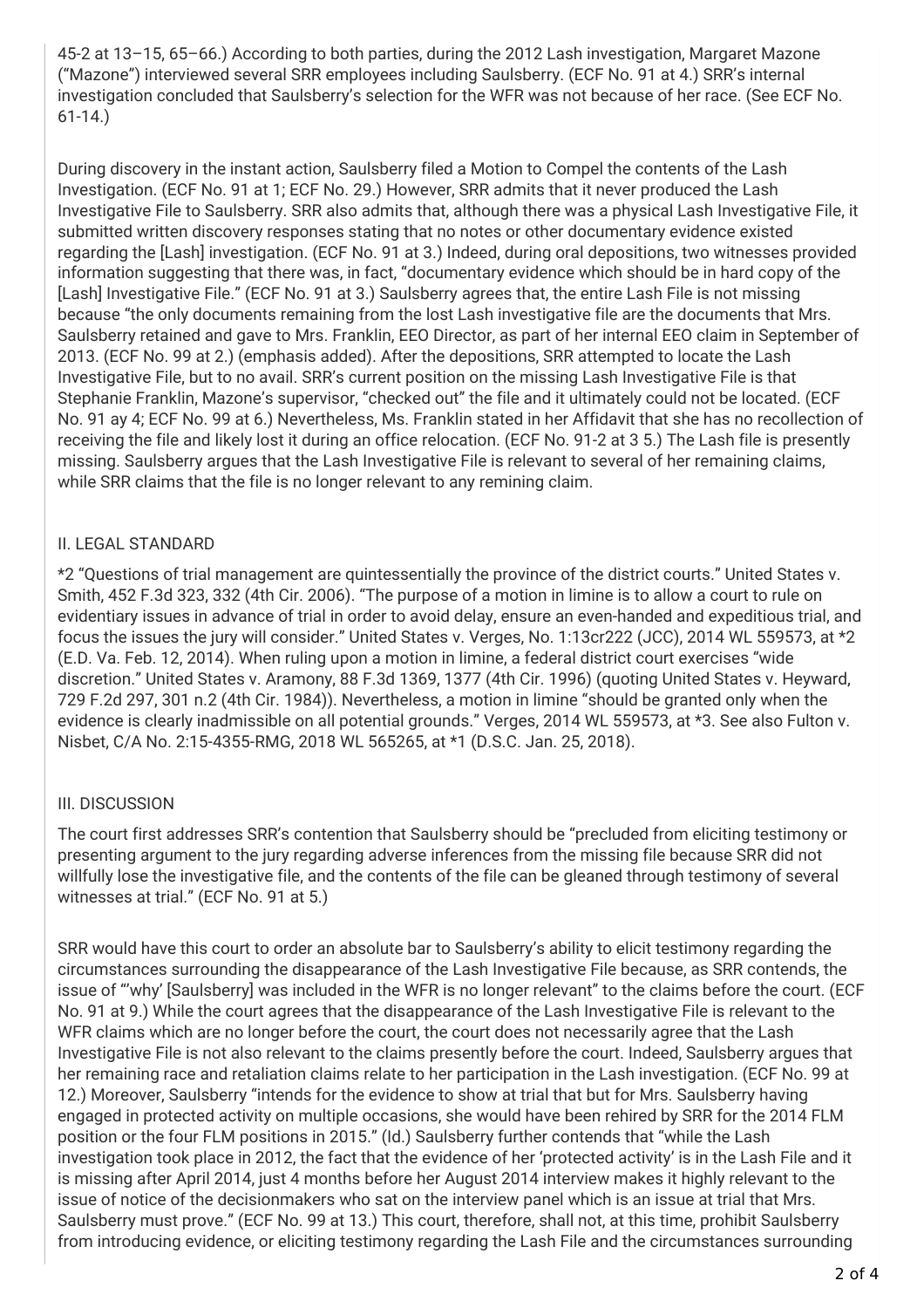45-2 at 13–15, 65–66.) According to both parties, during the 2012 Lash investigation, Margaret Mazone ("Mazone") interviewed several SRR employees including Saulsberry. (ECF No. 91 at 4.) SRR's internal investigation concluded that Saulsberry's selection for the WFR was not because of her race. (See ECF No. 61-14.)

During discovery in the instant action, Saulsberry filed a Motion to Compel the contents of the Lash Investigation. (ECF No. 91 at 1; ECF No. 29.) However, SRR admits that it never produced the Lash Investigative File to Saulsberry. SRR also admits that, although there was a physical Lash Investigative File, it submitted written discovery responses stating that no notes or other documentary evidence existed regarding the [Lash] investigation. (ECF No. 91 at 3.) Indeed, during oral depositions, two witnesses provided information suggesting that there was, in fact, "documentary evidence which should be in hard copy of the [Lash] Investigative File." (ECF No. 91 at 3.) Saulsberry agrees that, the entire Lash File is not missing because "the only documents remaining from the lost Lash investigative file are the documents that Mrs. Saulsberry retained and gave to Mrs. Franklin, EEO Director, as part of her internal EEO claim in September of 2013. (ECF No. 99 at 2.) (emphasis added). After the depositions, SRR attempted to locate the Lash Investigative File, but to no avail. SRR's current position on the missing Lash Investigative File is that Stephanie Franklin, Mazone's supervisor, "checked out" the file and it ultimately could not be located. (ECF No. 91 ay 4; ECF No. 99 at 6.) Nevertheless, Ms. Franklin stated in her Affidavit that she has no recollection of receiving the file and likely lost it during an office relocation. (ECF No. 91-2 at 3 5.) The Lash file is presently missing. Saulsberry argues that the Lash Investigative File is relevant to several of her remaining claims, while SRR claims that the file is no longer relevant to any remining claim.

#### II. LEGAL STANDARD

\*2 "Questions of trial management are quintessentially the province of the district courts." United States v. Smith, 452 F.3d 323, 332 (4th Cir. 2006). "The purpose of a motion in limine is to allow a court to rule on evidentiary issues in advance of trial in order to avoid delay, ensure an even-handed and expeditious trial, and focus the issues the jury will consider." United States v. Verges, No. 1:13cr222 (JCC), 2014 WL 559573, at \*2 (E.D. Va. Feb. 12, 2014). When ruling upon a motion in limine, a federal district court exercises "wide discretion." United States v. Aramony, 88 F.3d 1369, 1377 (4th Cir. 1996) (quoting United States v. Heyward, 729 F.2d 297, 301 n.2 (4th Cir. 1984)). Nevertheless, a motion in limine "should be granted only when the evidence is clearly inadmissible on all potential grounds." Verges, 2014 WL 559573, at \*3. See also Fulton v. Nisbet, C/A No. 2:15-4355-RMG, 2018 WL 565265, at \*1 (D.S.C. Jan. 25, 2018).

#### III. DISCUSSION

The court first addresses SRR's contention that Saulsberry should be "precluded from eliciting testimony or presenting argument to the jury regarding adverse inferences from the missing file because SRR did not willfully lose the investigative file, and the contents of the file can be gleaned through testimony of several witnesses at trial." (ECF No. 91 at 5.)

SRR would have this court to order an absolute bar to Saulsberry's ability to elicit testimony regarding the circumstances surrounding the disappearance of the Lash Investigative File because, as SRR contends, the issue of "'why' [Saulsberry] was included in the WFR is no longer relevant" to the claims before the court. (ECF No. 91 at 9.) While the court agrees that the disappearance of the Lash Investigative File is relevant to the WFR claims which are no longer before the court, the court does not necessarily agree that the Lash Investigative File is not also relevant to the claims presently before the court. Indeed, Saulsberry argues that her remaining race and retaliation claims relate to her participation in the Lash investigation. (ECF No. 99 at 12.) Moreover, Saulsberry "intends for the evidence to show at trial that but for Mrs. Saulsberry having engaged in protected activity on multiple occasions, she would have been rehired by SRR for the 2014 FLM position or the four FLM positions in 2015." (Id.) Saulsberry further contends that "while the Lash investigation took place in 2012, the fact that the evidence of her 'protected activity' is in the Lash File and it is missing after April 2014, just 4 months before her August 2014 interview makes it highly relevant to the issue of notice of the decisionmakers who sat on the interview panel which is an issue at trial that Mrs. Saulsberry must prove." (ECF No. 99 at 13.) This court, therefore, shall not, at this time, prohibit Saulsberry from introducing evidence, or eliciting testimony regarding the Lash File and the circumstances surrounding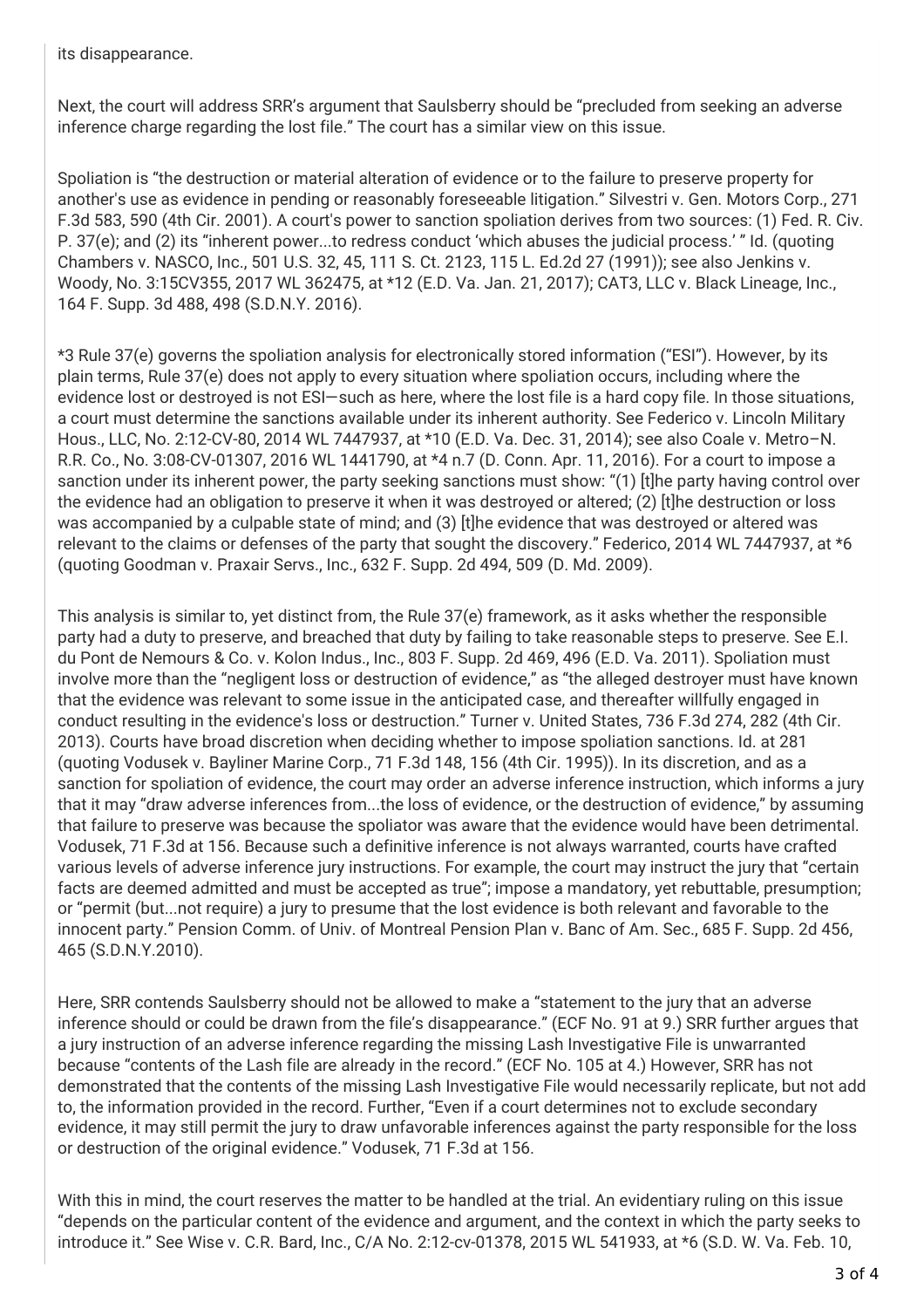its disappearance.

Next, the court will address SRR's argument that Saulsberry should be "precluded from seeking an adverse inference charge regarding the lost file." The court has a similar view on this issue.

Spoliation is "the destruction or material alteration of evidence or to the failure to preserve property for another's use as evidence in pending or reasonably foreseeable litigation." Silvestri v. Gen. Motors Corp., 271 F.3d 583, 590 (4th Cir. 2001). A court's power to sanction spoliation derives from two sources: (1) Fed. R. Civ. P. 37(e); and (2) its "inherent power...to redress conduct 'which abuses the judicial process.' " Id. (quoting Chambers v. NASCO, Inc., 501 U.S. 32, 45, 111 S. Ct. 2123, 115 L. Ed.2d 27 (1991)); see also Jenkins v. Woody, No. 3:15CV355, 2017 WL 362475, at \*12 (E.D. Va. Jan. 21, 2017); CAT3, LLC v. Black Lineage, Inc., 164 F. Supp. 3d 488, 498 (S.D.N.Y. 2016).

\*3 Rule 37(e) governs the spoliation analysis for electronically stored information ("ESI"). However, by its plain terms, Rule 37(e) does not apply to every situation where spoliation occurs, including where the evidence lost or destroyed is not ESI-such as here, where the lost file is a hard copy file. In those situations, a court must determine the sanctions available under its inherent authority. See Federico v. Lincoln Military Hous., LLC, No. 2:12-CV-80, 2014 WL 7447937, at \*10 (E.D. Va. Dec. 31, 2014); see also Coale v. Metro–N. R.R. Co., No. 3:08-CV-01307, 2016 WL 1441790, at \*4 n.7 (D. Conn. Apr. 11, 2016). For a court to impose a sanction under its inherent power, the party seeking sanctions must show: "(1) [t]he party having control over the evidence had an obligation to preserve it when it was destroyed or altered; (2) [t]he destruction or loss was accompanied by a culpable state of mind; and (3) [t]he evidence that was destroyed or altered was relevant to the claims or defenses of the party that sought the discovery." Federico, 2014 WL 7447937, at \*6 (quoting Goodman v. Praxair Servs., Inc., 632 F. Supp. 2d 494, 509 (D. Md. 2009).

This analysis is similar to, yet distinct from, the Rule 37(e) framework, as it asks whether the responsible party had a duty to preserve, and breached that duty by failing to take reasonable steps to preserve. See E.I. du Pont de Nemours & Co. v. Kolon Indus., Inc., 803 F. Supp. 2d 469, 496 (E.D. Va. 2011). Spoliation must involve more than the "negligent loss or destruction of evidence," as "the alleged destroyer must have known that the evidence was relevant to some issue in the anticipated case, and thereafter willfully engaged in conduct resulting in the evidence's loss or destruction." Turner v. United States, 736 F.3d 274, 282 (4th Cir. 2013). Courts have broad discretion when deciding whether to impose spoliation sanctions. Id. at 281 (quoting Vodusek v. Bayliner Marine Corp., 71 F.3d 148, 156 (4th Cir. 1995)). In its discretion, and as a sanction for spoliation of evidence, the court may order an adverse inference instruction, which informs a jury that it may "draw adverse inferences from...the loss of evidence, or the destruction of evidence," by assuming that failure to preserve was because the spoliator was aware that the evidence would have been detrimental. Vodusek, 71 F.3d at 156. Because such a definitive inference is not always warranted, courts have crafted various levels of adverse inference jury instructions. For example, the court may instruct the jury that "certain facts are deemed admitted and must be accepted as true"; impose a mandatory, yet rebuttable, presumption; or "permit (but...not require) a jury to presume that the lost evidence is both relevant and favorable to the innocent party." Pension Comm. of Univ. of Montreal Pension Plan v. Banc of Am. Sec., 685 F. Supp. 2d 456, 465 (S.D.N.Y.2010).

Here, SRR contends Saulsberry should not be allowed to make a "statement to the jury that an adverse inference should or could be drawn from the file's disappearance." (ECF No. 91 at 9.) SRR further argues that a jury instruction of an adverse inference regarding the missing Lash Investigative File is unwarranted because "contents of the Lash file are already in the record." (ECF No. 105 at 4.) However, SRR has not demonstrated that the contents of the missing Lash Investigative File would necessarily replicate, but not add to, the information provided in the record. Further, "Even if a court determines not to exclude secondary evidence, it may still permit the jury to draw unfavorable inferences against the party responsible for the loss or destruction of the original evidence." Vodusek, 71 F.3d at 156.

With this in mind, the court reserves the matter to be handled at the trial. An evidentiary ruling on this issue "depends on the particular content of the evidence and argument, and the context in which the party seeks to introduce it." See Wise v. C.R. Bard, Inc., C/A No. 2:12-cv-01378, 2015 WL 541933, at \*6 (S.D. W. Va. Feb. 10,